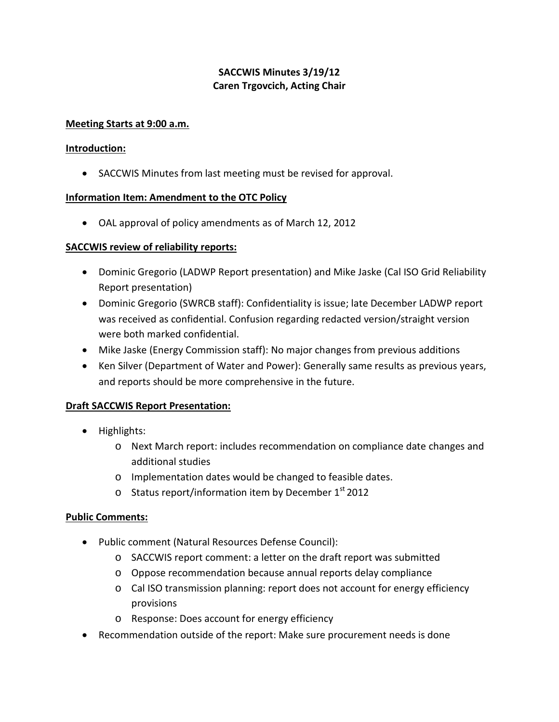# **SACCWIS Minutes 3/19/12 Caren Trgovcich, Acting Chair**

## **Meeting Starts at 9:00 a.m.**

## **Introduction:**

• SACCWIS Minutes from last meeting must be revised for approval.

## **Information Item: Amendment to the OTC Policy**

• OAL approval of policy amendments as of March 12, 2012

## **SACCWIS review of reliability reports:**

- Dominic Gregorio (LADWP Report presentation) and Mike Jaske (Cal ISO Grid Reliability Report presentation)
- Dominic Gregorio (SWRCB staff): Confidentiality is issue; late December LADWP report was received as confidential. Confusion regarding redacted version/straight version were both marked confidential.
- Mike Jaske (Energy Commission staff): No major changes from previous additions
- Ken Silver (Department of Water and Power): Generally same results as previous years, and reports should be more comprehensive in the future.

## **Draft SACCWIS Report Presentation:**

- Highlights:
	- o Next March report: includes recommendation on compliance date changes and additional studies
	- o Implementation dates would be changed to feasible dates.
	- $\circ$  Status report/information item by December 1st 2012

#### **Public Comments:**

- Public comment (Natural Resources Defense Council):
	- o SACCWIS report comment: a letter on the draft report was submitted
	- o Oppose recommendation because annual reports delay compliance
	- o Cal ISO transmission planning: report does not account for energy efficiency provisions
	- o Response: Does account for energy efficiency
- Recommendation outside of the report: Make sure procurement needs is done